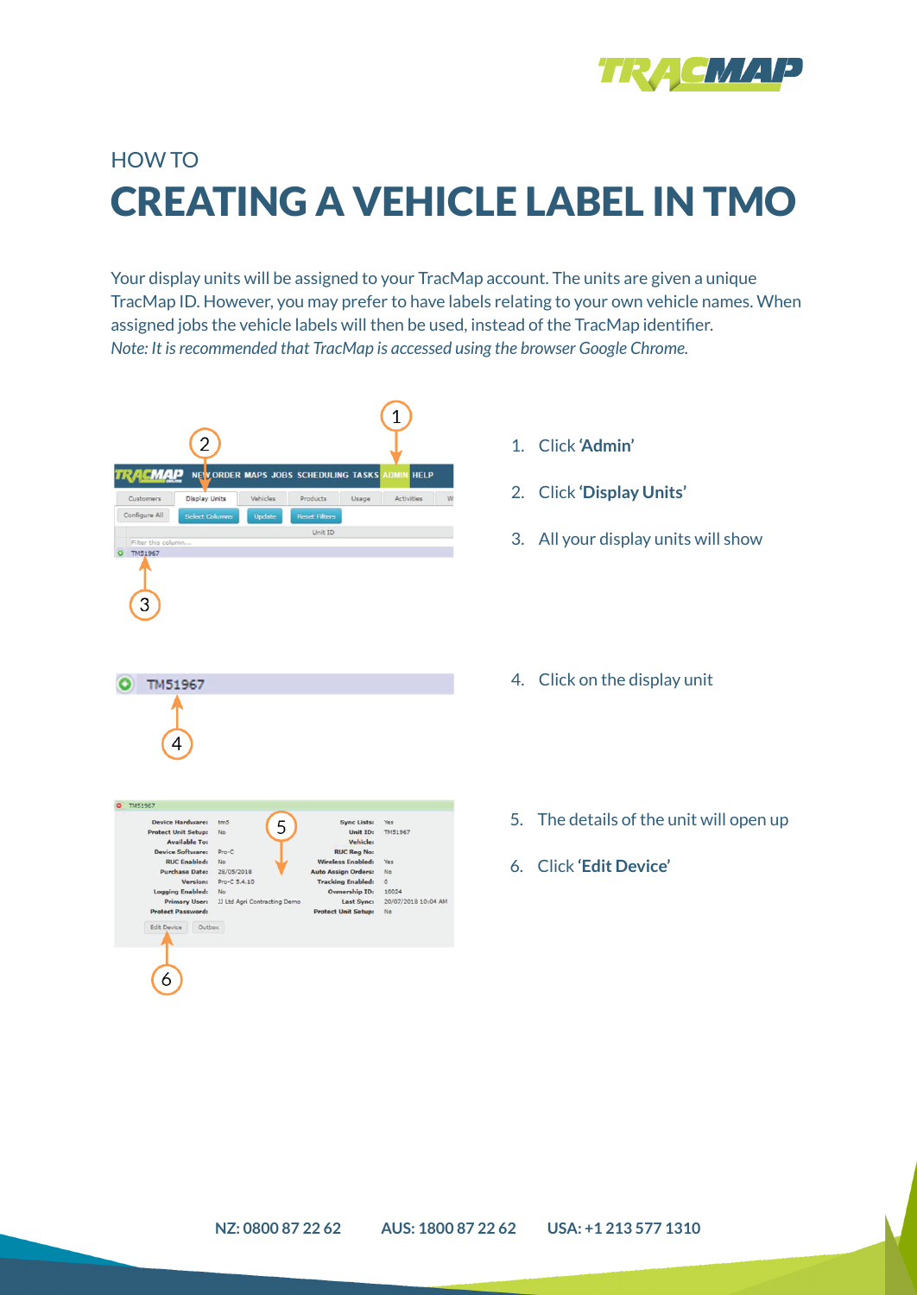

## HOW TO CREATING A VEHICLE LABEL IN TMO

Your display units will be assigned to your TracMap account. The units are given a unique TracMap ID. However, you may prefer to have labels relating to your own vehicle names. When assigned jobs the vehicle labels will then be used, instead of the TracMap identifier. *Note: It isrecommended that TracMap is accessed using the browser Google Chrome.*

|                                                                                  | 2                                                                                                              |                              |                                                                                                                            | 1                           |                     |
|----------------------------------------------------------------------------------|----------------------------------------------------------------------------------------------------------------|------------------------------|----------------------------------------------------------------------------------------------------------------------------|-----------------------------|---------------------|
| касмар                                                                           |                                                                                                                |                              | NEV ORDER MAPS JOBS SCHEDULING TASKS                                                                                       | <b>ADMIN</b>                | <b>HELP</b>         |
| Customers                                                                        | <b>Display Units</b>                                                                                           | Vehicles                     | Products<br>Usage                                                                                                          |                             | Activities<br>W     |
| Configure All                                                                    | <b>Select Columns</b>                                                                                          | Update                       | <b>Reset Filters</b>                                                                                                       |                             |                     |
| Filter this column                                                               |                                                                                                                |                              | Unit ID                                                                                                                    |                             |                     |
| TM51967                                                                          |                                                                                                                |                              |                                                                                                                            |                             |                     |
| 3                                                                                |                                                                                                                |                              |                                                                                                                            |                             |                     |
| TM51967<br>4                                                                     |                                                                                                                |                              |                                                                                                                            |                             |                     |
| <b>TM51967</b>                                                                   |                                                                                                                |                              |                                                                                                                            |                             |                     |
| <b>Device Hardware:</b><br><b>Protect Unit Setup:</b><br><b>Device Software:</b> | tm5<br>No<br><b>Available To:</b><br>Pro-C<br><b>RUC Enabled:</b><br>No<br><b>Purchase Date:</b><br>28/05/2018 | 5                            | <b>Sync Lists:</b><br>Unit ID:<br>Vehicle:<br><b>RUC Reg No:</b><br><b>Wireless Enabled:</b><br><b>Auto Assign Orders:</b> | Yes<br>TM51967<br>Yes<br>No |                     |
| <b>Logging Enabled:</b><br><b>Protect Password:</b><br>Edit Device               | Version:<br>Pro-C 5.4.10<br>No.<br><b>Primary User:</b><br>Outbox                                              | JJ Ltd Agri Contracting Demo | <b>Tracking Enabled:</b><br><b>Ownership ID:</b><br>Last Sync:<br><b>Protect Unit Setup:</b>                               | $\circ$<br>10024<br>No      | 20/07/2018 10:04 AM |
| 6                                                                                |                                                                                                                |                              |                                                                                                                            |                             |                     |

- 1. Click **'Admin'**
- 2. Click **'Display Units'**
- 3. All your display units will show
- 4. Click on the display unit
- 5. The details of the unit will open up
- 6. Click **'Edit Device'**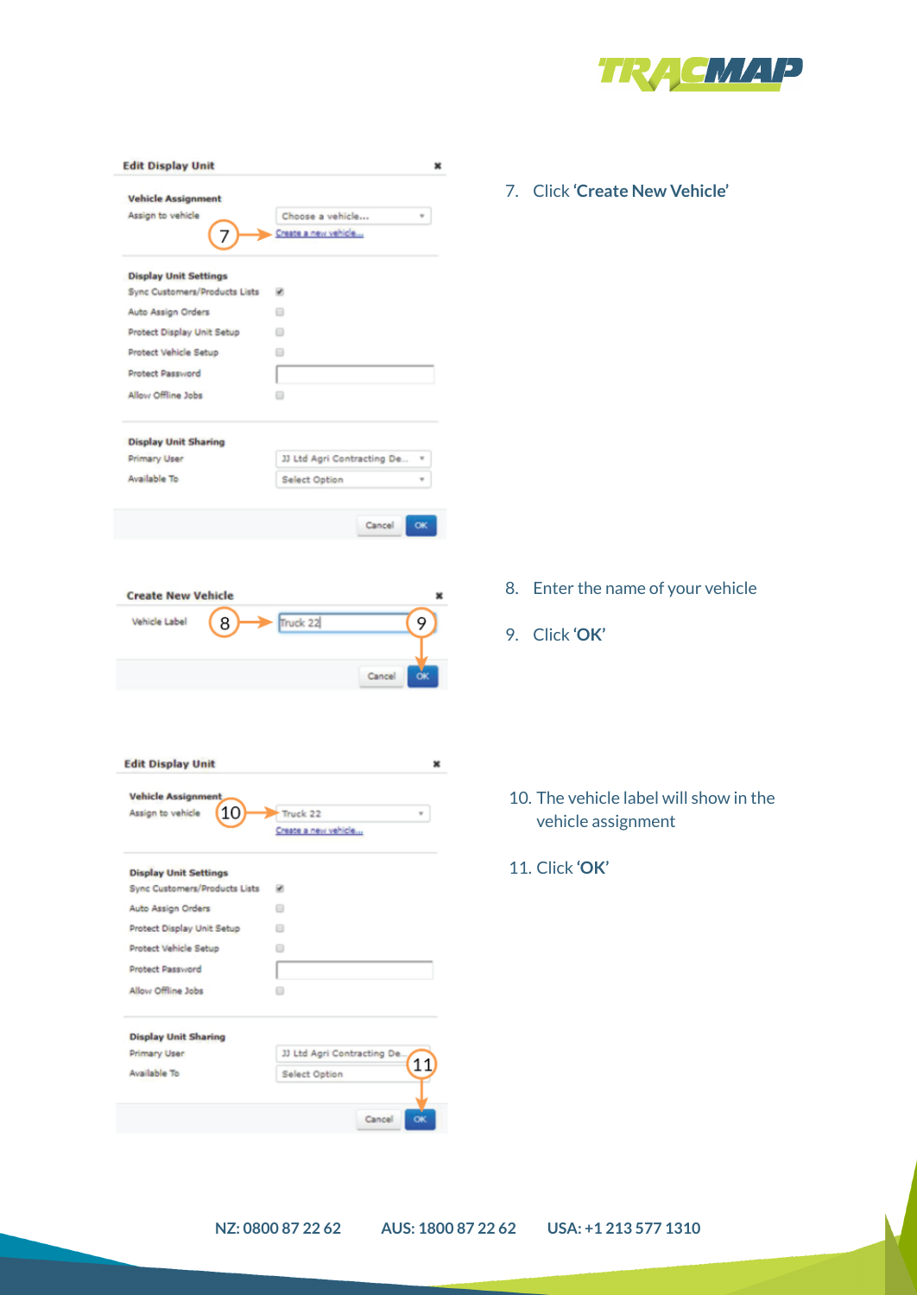

| <b>Vehicle Assignment</b><br>Assign to vehicle<br>Choose a vehicle<br>Create a new vehicle<br>7<br><b>Display Unit Settings</b><br>Sync Customers/Products Lists<br>⊛<br>Auto Assign Orders<br>▣<br>Protect Display Unit Setup<br>⊟<br>Protect Vehicle Setup<br>Θ<br>Protect Password<br>Allow Offline Jobs<br>⊟<br><b>Display Unit Sharing</b><br>JJ Ltd Agri Contracting De<br><b>Primary User</b><br>Available To<br>Select Option<br>Cancel<br>OK<br><b>Create New Vehicle</b><br>Truck 22<br>Vehicle Label<br>9<br>8<br>Cancel<br>О<br><b>Edit Display Unit</b><br>×<br><b>Vehicle Assignment</b><br>10<br>Assign to vehicle<br>Truck 22<br>Create a new vehicle<br><b>Display Unit Settings</b><br>Sync Customers/Products Lists<br>ø<br>Auto Assign Orders<br>⊟<br>Protect Display Unit Setup<br>Θ<br>Protect Vehicle Setup<br>Θ<br>Protect Password<br>Allow Offline Jobs<br>⊟<br><b>Display Unit Sharing</b><br>JJ Ltd Agri Contracting De.<br>Primary User<br>11<br>Available To<br>Select Option | <b>Edit Display Unit</b> |  |
|-------------------------------------------------------------------------------------------------------------------------------------------------------------------------------------------------------------------------------------------------------------------------------------------------------------------------------------------------------------------------------------------------------------------------------------------------------------------------------------------------------------------------------------------------------------------------------------------------------------------------------------------------------------------------------------------------------------------------------------------------------------------------------------------------------------------------------------------------------------------------------------------------------------------------------------------------------------------------------------------------------------|--------------------------|--|
|                                                                                                                                                                                                                                                                                                                                                                                                                                                                                                                                                                                                                                                                                                                                                                                                                                                                                                                                                                                                             |                          |  |
|                                                                                                                                                                                                                                                                                                                                                                                                                                                                                                                                                                                                                                                                                                                                                                                                                                                                                                                                                                                                             |                          |  |
|                                                                                                                                                                                                                                                                                                                                                                                                                                                                                                                                                                                                                                                                                                                                                                                                                                                                                                                                                                                                             |                          |  |
|                                                                                                                                                                                                                                                                                                                                                                                                                                                                                                                                                                                                                                                                                                                                                                                                                                                                                                                                                                                                             |                          |  |
|                                                                                                                                                                                                                                                                                                                                                                                                                                                                                                                                                                                                                                                                                                                                                                                                                                                                                                                                                                                                             |                          |  |
|                                                                                                                                                                                                                                                                                                                                                                                                                                                                                                                                                                                                                                                                                                                                                                                                                                                                                                                                                                                                             |                          |  |
|                                                                                                                                                                                                                                                                                                                                                                                                                                                                                                                                                                                                                                                                                                                                                                                                                                                                                                                                                                                                             |                          |  |
|                                                                                                                                                                                                                                                                                                                                                                                                                                                                                                                                                                                                                                                                                                                                                                                                                                                                                                                                                                                                             |                          |  |

7. Click **'Create New Vehicle'**

- 8. Enter the name of your vehicle
- 9. Click **'OK'**

- 10. The vehicle label will show in the vehicle assignment
- 11. Click **'OK'**